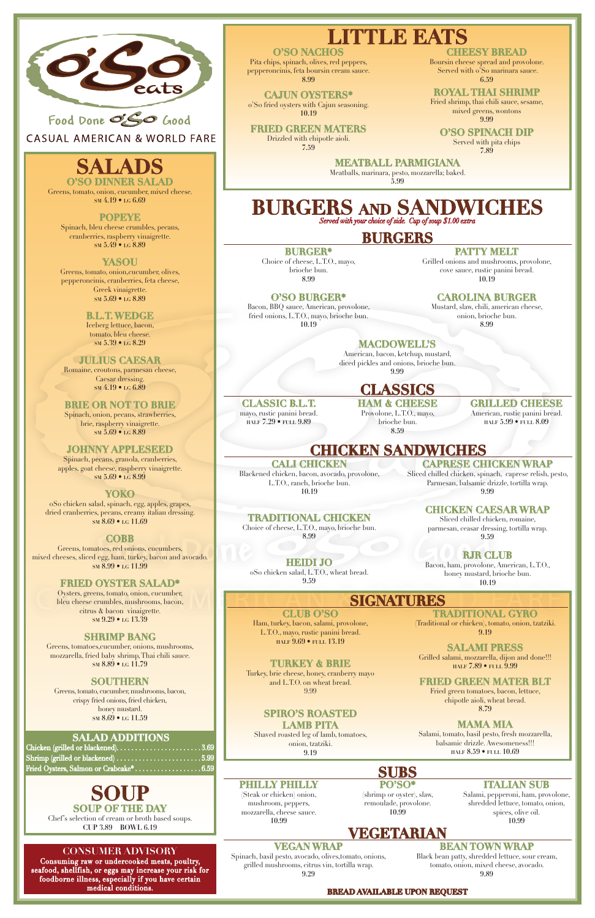

**CASUAL AMERICAN & WORLD FARE** 

# **SALAD**

#### **CONSUMER ADVISORY**

Consuming raw or undercooked meats, poultry, seafood, shellfish, or eggs may increase your risk for foodborne illness, especially if you have certain medical conditions.

**O'SO DINNER SALAD** Greens, tomato, onion, cucumber, mixed cheese. **sm 4.19 • lg 6.69**

#### **POPEYE**

Spinach, bleu cheese crumbles, pecans, cranberries, raspberry vinaigrette. **sm 5.49 • lg 8.89**

#### **YASOU**

Greens, tomato, onion,cucumber, olives, pepperoncinis, cranberries, feta cheese, Greek vinaigrette. **sm 5.69 • lg 8.89**

> **B.L.T. WEDGE** Iceberg lettuce, bacon, tomato, bleu cheese. **sm 5.39 • lg 8.29**

**JULIUS CAESAR** Romaine, croutons, parmesan cheese, Caesar dressing. **sm 4.19 • lg 6.89**

**BRIE OR NOT TO BRIE** Spinach, onion, pecans, strawberries, brie, raspberry vinaigrette. **sm 5.69 • lg 8.89**

#### **JOHNNY APPLESEED**

Spinach, pecans, granola, cranberries, apples, goat cheese, raspberry vinaigrette. **sm 5.69 • lg 8.99**

#### **YOKO**

oSo chicken salad, spinach, egg, apples, grapes, dried cranberries, pecans, creamy italian dressing. **sm 8.69 • lg 11.69**

#### **COBB**

Greens, tomatoes, red onions, cucumbers, mixed cheeses, sliced egg, ham, turkey, bacon and avocado. **sm 8.99 • lg 11.99**

#### **FRIED OYSTER SALAD\***

Oysters, greens, tomato, onion, cucumber, bleu cheese crumbles, mushrooms, bacon, citrus & bacon vinaigrette. **sm 9.29 • lg 13.39**

#### **SHRIMP BANG**

Greens, tomatoes,cucumber, onions, mushrooms, mozzarella, fried baby shrimp, Thai chili sauce. **sm 8.89 • lg 11.79**

#### **SOUTHERN**

Greens, tomato, cucumber, mushrooms, bacon, crispy fried onions, fried chicken, honey mustard. **sm 8.69 • lg 11.59**

#### **SALAD ADDITIONS**

| Shrimp (grilled or blackened)5.99      |  |
|----------------------------------------|--|
| Fried Oysters, Salmon or Crabcake*6.59 |  |

# **SOUP SOUP OF THE DAY**

Chef's selection of cream or broth based soups. **CUP 3.89 BOWL 6.19**

# **LITTLE EATS O'SO NACHOS**

# **BURGERS and SANDWICHES** *Served with your choice of side. Cup of soup \$1.00 extra*

Pita chips, spinach, olives, red peppers, pepperoncinis, feta boursin cream sauce. **8.99**

**CAJUN OYSTERS\*** o'So fried oysters with Cajun seasoning. **10.19**

**FRIED GREEN MATERS** Drizzled with chipotle aioli. **7.59**

## **CHEESY BREAD**

Boursin cheese spread and provolone. Served with o'So marinara sauce. **6.59**

#### **ROYAL THAI SHRIMP**

Fried shrimp, thai chili sauce, sesame, mixed greens, wontons **9.99**

**O'SO SPINACH DIP**

Served with pita chips **7.89**

**MEATBALL PARMIGIANA** Meatballs, marinara, pesto, mozzarella; baked.

**5.99**

# **BURGERS**

#### **BURGER\***

Choice of cheese, L.T.O., mayo, brioche bun. **8.99**

## **O'SO BURGER\***

Bacon, BBQ sauce, American, provolone, fried onions, L.T.O., mayo, brioche bun. **10.19**

**PATTY MELT**

Grilled onions and mushrooms, provolone, cove sauce, rustic panini bread. **10.19**

## **CAROLINA BURGER**

Mustard, slaw, chili, american cheese, onion, brioche bun. **8.99**

# **MACDOWELL'S**

American, bacon, ketchup, mustard, diced pickles and onions, brioche bun. **9.99**

**CLUB O'SO** Ham, turkey, bacon, salami, provolone, L.T.O., mayo, rustic panini bread. **half 9.69 • full 13.19**

**TURKEY & BRIE** Turkey, brie cheese, honey, cranberry mayo and L.T.O. on wheat bread. 9.99

## **SPIRO'S ROASTED LAMB PITA**

Shaved roasted leg of lamb, tomatoes, onion, tzatziki. **9.19**

**TRADITIONAL GYRO**

(Traditional or chicken), tomato, onion, tzatziki. **9.19**

**SALAMI PRESS**

Grilled salami, mozzarella, dijon and done!!! **half 7.89 • full 9.99**

#### **FRIED GREEN MATER BLT**

Fried green tomatoes, bacon, lettuce, chipotle aioli, wheat bread.

#### **8.79**

### **MAMA MIA**

Salami, tomato, basil pesto, fresh mozzarella, balsamic drizzle. Awesomeness!!! **half 8.59 • full 10.69**

# **CHICKEN SANDWICHES**

#### **CALI CHICKEN**

Blackened chicken, bacon, avocado, provolone, L.T.O., ranch, brioche bun. **10.19**

**TRADITIONAL CHICKEN** Choice of cheese, L.T.O., mayo, brioche bun. **8.99**

**HEIDI JO** oSo chicken salad, L.T.O., wheat bread. **9.59**

**CAPRESE CHICKEN WRAP** Sliced chilled chicken, spinach, caprese relish, pesto, Parmesan, balsamic drizzle, tortilla wrap. **9.99**

**CHICKEN CAESAR WRAP**

Sliced chilled chicken, romaine, parmesan, ceasar dressing, tortilla wrap. **9.59**

## **RJR CLUB**

Bacon, ham, provolone, American, L.T.O., honey mustard, brioche bun. **10.19**

# **SIGNATURES**

# **PHILLY PHILLY**

#### **SUBS PO'SO\***

(Steak or chicken) onion, mushroom, peppers, mozzarella, cheese sauce. **10.99**

(shrimp or oyster), slaw, remoulade, provolone.

**10.99** 

#### **ITALIAN SUB**

Salami, pepperoni, ham, provolone, shredded lettuce, tomato, onion, spices, olive oil. **10.99**

# **VEGETARIAN**

### **VEGAN WRAP**

Spinach, basil pesto, avocado, olives,tomato, onions, grilled mushrooms, citrus vin, tortilla wrap.

**9.29**

### **BEAN TOWN WRAP**

Black bean patty, shredded lettuce, sour cream, tomato, onion, mixed cheese, avocado. **9.89**

**CLASSICS**

**CLASSIC B.L.T.** mayo, rustic panini bread. **half 7.29 • full 9.89**

**HAM & CHEESE** Provolone, L.T.O., mayo, brioche bun.

**GRILLED CHEESE** 

**8.59** 

American, rustic panini bread. **half 5.99 • full 8.09**

#### **BREAD AVAILABLE UPON REQUEST**